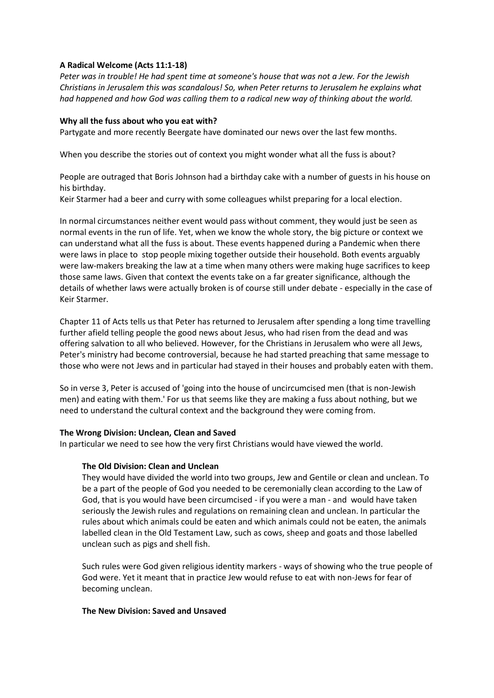# **A Radical Welcome (Acts 11:1-18)**

*Peter was in trouble! He had spent time at someone's house that was not a Jew. For the Jewish Christians in Jerusalem this was scandalous! So, when Peter returns to Jerusalem he explains what had happened and how God was calling them to a radical new way of thinking about the world.*

# **Why all the fuss about who you eat with?**

Partygate and more recently Beergate have dominated our news over the last few months.

When you describe the stories out of context you might wonder what all the fuss is about?

People are outraged that Boris Johnson had a birthday cake with a number of guests in his house on his birthday.

Keir Starmer had a beer and curry with some colleagues whilst preparing for a local election.

In normal circumstances neither event would pass without comment, they would just be seen as normal events in the run of life. Yet, when we know the whole story, the big picture or context we can understand what all the fuss is about. These events happened during a Pandemic when there were laws in place to stop people mixing together outside their household. Both events arguably were law-makers breaking the law at a time when many others were making huge sacrifices to keep those same laws. Given that context the events take on a far greater significance, although the details of whether laws were actually broken is of course still under debate - especially in the case of Keir Starmer.

Chapter 11 of Acts tells us that Peter has returned to Jerusalem after spending a long time travelling further afield telling people the good news about Jesus, who had risen from the dead and was offering salvation to all who believed. However, for the Christians in Jerusalem who were all Jews, Peter's ministry had become controversial, because he had started preaching that same message to those who were not Jews and in particular had stayed in their houses and probably eaten with them.

So in verse 3, Peter is accused of 'going into the house of uncircumcised men (that is non-Jewish men) and eating with them.' For us that seems like they are making a fuss about nothing, but we need to understand the cultural context and the background they were coming from.

# **The Wrong Division: Unclean, Clean and Saved**

In particular we need to see how the very first Christians would have viewed the world.

# **The Old Division: Clean and Unclean**

They would have divided the world into two groups, Jew and Gentile or clean and unclean. To be a part of the people of God you needed to be ceremonially clean according to the Law of God, that is you would have been circumcised - if you were a man - and would have taken seriously the Jewish rules and regulations on remaining clean and unclean. In particular the rules about which animals could be eaten and which animals could not be eaten, the animals labelled clean in the Old Testament Law, such as cows, sheep and goats and those labelled unclean such as pigs and shell fish.

Such rules were God given religious identity markers - ways of showing who the true people of God were. Yet it meant that in practice Jew would refuse to eat with non-Jews for fear of becoming unclean.

# **The New Division: Saved and Unsaved**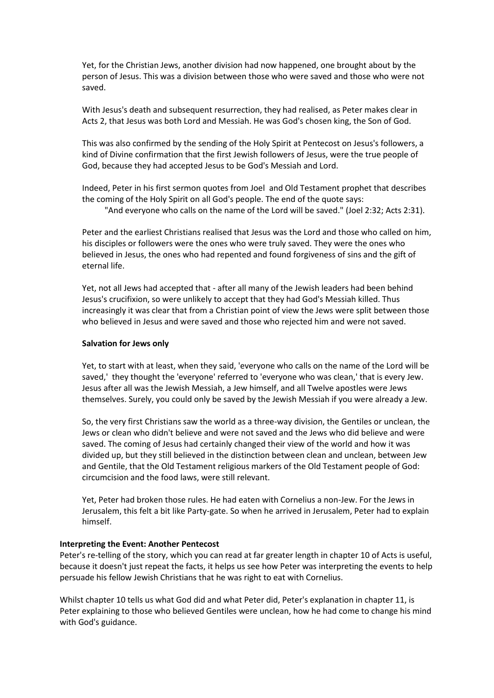Yet, for the Christian Jews, another division had now happened, one brought about by the person of Jesus. This was a division between those who were saved and those who were not saved.

With Jesus's death and subsequent resurrection, they had realised, as Peter makes clear in Acts 2, that Jesus was both Lord and Messiah. He was God's chosen king, the Son of God.

This was also confirmed by the sending of the Holy Spirit at Pentecost on Jesus's followers, a kind of Divine confirmation that the first Jewish followers of Jesus, were the true people of God, because they had accepted Jesus to be God's Messiah and Lord.

Indeed, Peter in his first sermon quotes from Joel and Old Testament prophet that describes the coming of the Holy Spirit on all God's people. The end of the quote says:

"And everyone who calls on the name of the Lord will be saved." (Joel 2:32; Acts 2:31).

Peter and the earliest Christians realised that Jesus was the Lord and those who called on him, his disciples or followers were the ones who were truly saved. They were the ones who believed in Jesus, the ones who had repented and found forgiveness of sins and the gift of eternal life.

Yet, not all Jews had accepted that - after all many of the Jewish leaders had been behind Jesus's crucifixion, so were unlikely to accept that they had God's Messiah killed. Thus increasingly it was clear that from a Christian point of view the Jews were split between those who believed in Jesus and were saved and those who rejected him and were not saved.

### **Salvation for Jews only**

Yet, to start with at least, when they said, 'everyone who calls on the name of the Lord will be saved,' they thought the 'everyone' referred to 'everyone who was clean,' that is every Jew. Jesus after all was the Jewish Messiah, a Jew himself, and all Twelve apostles were Jews themselves. Surely, you could only be saved by the Jewish Messiah if you were already a Jew.

So, the very first Christians saw the world as a three-way division, the Gentiles or unclean, the Jews or clean who didn't believe and were not saved and the Jews who did believe and were saved. The coming of Jesus had certainly changed their view of the world and how it was divided up, but they still believed in the distinction between clean and unclean, between Jew and Gentile, that the Old Testament religious markers of the Old Testament people of God: circumcision and the food laws, were still relevant.

Yet, Peter had broken those rules. He had eaten with Cornelius a non-Jew. For the Jews in Jerusalem, this felt a bit like Party-gate. So when he arrived in Jerusalem, Peter had to explain himself.

#### **Interpreting the Event: Another Pentecost**

Peter's re-telling of the story, which you can read at far greater length in chapter 10 of Acts is useful, because it doesn't just repeat the facts, it helps us see how Peter was interpreting the events to help persuade his fellow Jewish Christians that he was right to eat with Cornelius.

Whilst chapter 10 tells us what God did and what Peter did, Peter's explanation in chapter 11, is Peter explaining to those who believed Gentiles were unclean, how he had come to change his mind with God's guidance.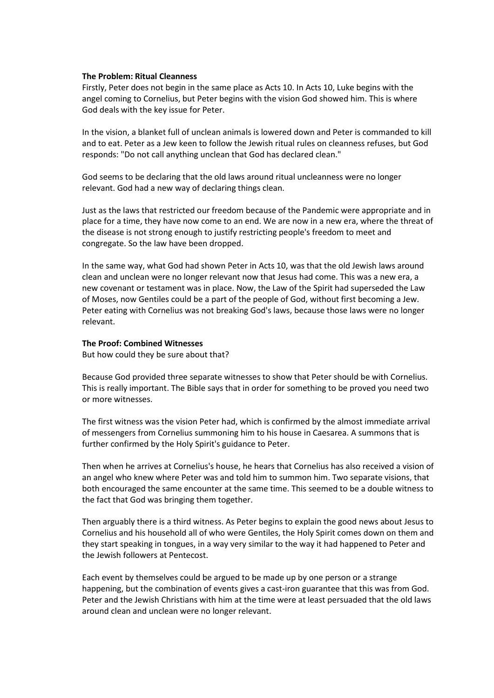#### **The Problem: Ritual Cleanness**

Firstly, Peter does not begin in the same place as Acts 10. In Acts 10, Luke begins with the angel coming to Cornelius, but Peter begins with the vision God showed him. This is where God deals with the key issue for Peter.

In the vision, a blanket full of unclean animals is lowered down and Peter is commanded to kill and to eat. Peter as a Jew keen to follow the Jewish ritual rules on cleanness refuses, but God responds: "Do not call anything unclean that God has declared clean."

God seems to be declaring that the old laws around ritual uncleanness were no longer relevant. God had a new way of declaring things clean.

Just as the laws that restricted our freedom because of the Pandemic were appropriate and in place for a time, they have now come to an end. We are now in a new era, where the threat of the disease is not strong enough to justify restricting people's freedom to meet and congregate. So the law have been dropped.

In the same way, what God had shown Peter in Acts 10, was that the old Jewish laws around clean and unclean were no longer relevant now that Jesus had come. This was a new era, a new covenant or testament was in place. Now, the Law of the Spirit had superseded the Law of Moses, now Gentiles could be a part of the people of God, without first becoming a Jew. Peter eating with Cornelius was not breaking God's laws, because those laws were no longer relevant.

#### **The Proof: Combined Witnesses**

But how could they be sure about that?

Because God provided three separate witnesses to show that Peter should be with Cornelius. This is really important. The Bible says that in order for something to be proved you need two or more witnesses.

The first witness was the vision Peter had, which is confirmed by the almost immediate arrival of messengers from Cornelius summoning him to his house in Caesarea. A summons that is further confirmed by the Holy Spirit's guidance to Peter.

Then when he arrives at Cornelius's house, he hears that Cornelius has also received a vision of an angel who knew where Peter was and told him to summon him. Two separate visions, that both encouraged the same encounter at the same time. This seemed to be a double witness to the fact that God was bringing them together.

Then arguably there is a third witness. As Peter begins to explain the good news about Jesus to Cornelius and his household all of who were Gentiles, the Holy Spirit comes down on them and they start speaking in tongues, in a way very similar to the way it had happened to Peter and the Jewish followers at Pentecost.

Each event by themselves could be argued to be made up by one person or a strange happening, but the combination of events gives a cast-iron guarantee that this was from God. Peter and the Jewish Christians with him at the time were at least persuaded that the old laws around clean and unclean were no longer relevant.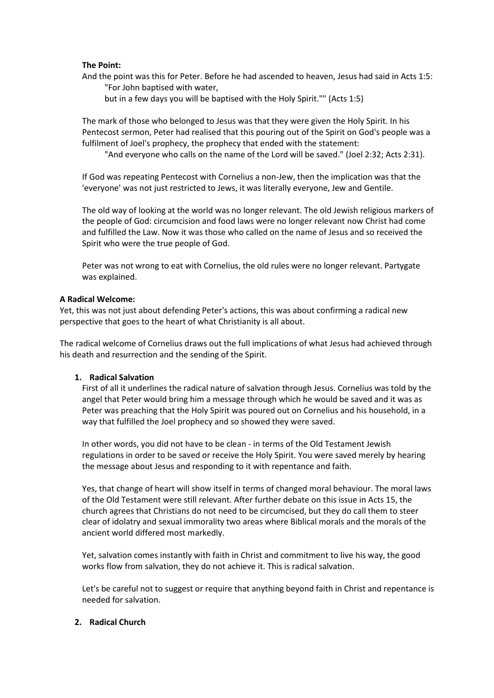### **The Point:**

And the point was this for Peter. Before he had ascended to heaven, Jesus had said in Acts 1:5: "For John baptised with water,

but in a few days you will be baptised with the Holy Spirit."" (Acts 1:5)

The mark of those who belonged to Jesus was that they were given the Holy Spirit. In his Pentecost sermon, Peter had realised that this pouring out of the Spirit on God's people was a fulfilment of Joel's prophecy, the prophecy that ended with the statement:

"And everyone who calls on the name of the Lord will be saved." (Joel 2:32; Acts 2:31).

If God was repeating Pentecost with Cornelius a non-Jew, then the implication was that the 'everyone' was not just restricted to Jews, it was literally everyone, Jew and Gentile.

The old way of looking at the world was no longer relevant. The old Jewish religious markers of the people of God: circumcision and food laws were no longer relevant now Christ had come and fulfilled the Law. Now it was those who called on the name of Jesus and so received the Spirit who were the true people of God.

Peter was not wrong to eat with Cornelius, the old rules were no longer relevant. Partygate was explained.

### **A Radical Welcome:**

Yet, this was not just about defending Peter's actions, this was about confirming a radical new perspective that goes to the heart of what Christianity is all about.

The radical welcome of Cornelius draws out the full implications of what Jesus had achieved through his death and resurrection and the sending of the Spirit.

### **1. Radical Salvation**

First of all it underlines the radical nature of salvation through Jesus. Cornelius was told by the angel that Peter would bring him a message through which he would be saved and it was as Peter was preaching that the Holy Spirit was poured out on Cornelius and his household, in a way that fulfilled the Joel prophecy and so showed they were saved.

In other words, you did not have to be clean - in terms of the Old Testament Jewish regulations in order to be saved or receive the Holy Spirit. You were saved merely by hearing the message about Jesus and responding to it with repentance and faith.

Yes, that change of heart will show itself in terms of changed moral behaviour. The moral laws of the Old Testament were still relevant. After further debate on this issue in Acts 15, the church agrees that Christians do not need to be circumcised, but they do call them to steer clear of idolatry and sexual immorality two areas where Biblical morals and the morals of the ancient world differed most markedly.

Yet, salvation comes instantly with faith in Christ and commitment to live his way, the good works flow from salvation, they do not achieve it. This is radical salvation.

Let's be careful not to suggest or require that anything beyond faith in Christ and repentance is needed for salvation.

### **2. Radical Church**